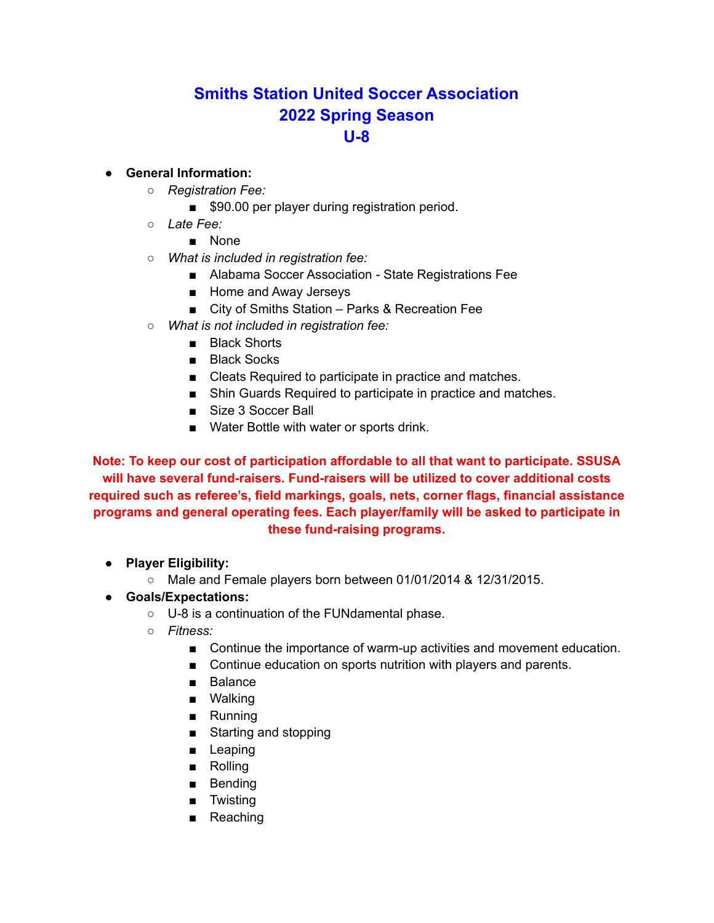# **Smiths Station United Soccer Association 2022 Spring Season U-8**

### **● General Information:**

- *Registration Fee:*
	- \$90.00 per player during registration period.
- *○ Late Fee:*
	- None
- *What is included in registration fee:*
	- Alabama Soccer Association State Registrations Fee
	- Home and Away Jerseys
	- City of Smiths Station Parks & Recreation Fee
- *What is not included in registration fee:*
	- Black Shorts
	- Black Socks
	- Cleats Required to participate in practice and matches.
	- Shin Guards Required to participate in practice and matches.
	- Size 3 Soccer Ball
	- Water Bottle with water or sports drink.

**Note: To keep our cost of participation affordable to all that want to participate. SSUSA will have several fund-raisers. Fund-raisers will be utilized to cover additional costs required such as referee's, field markings, goals, nets, corner flags, financial assistance programs and general operating fees. Each player/family will be asked to participate in these fund-raising programs.**

- **Player Eligibility:**
	- Male and Female players born between 01/01/2014 & 12/31/2015.
- **Goals/Expectations:**
	- U-8 is a continuation of the FUNdamental phase.
	- *○ Fitness:*
		- Continue the importance of warm-up activities and movement education.
		- Continue education on sports nutrition with players and parents.
		- Balance
		- Walking
		- Running
		- Starting and stopping
		- Leaping
		- Rolling
		- Bending
		- Twisting
		- Reaching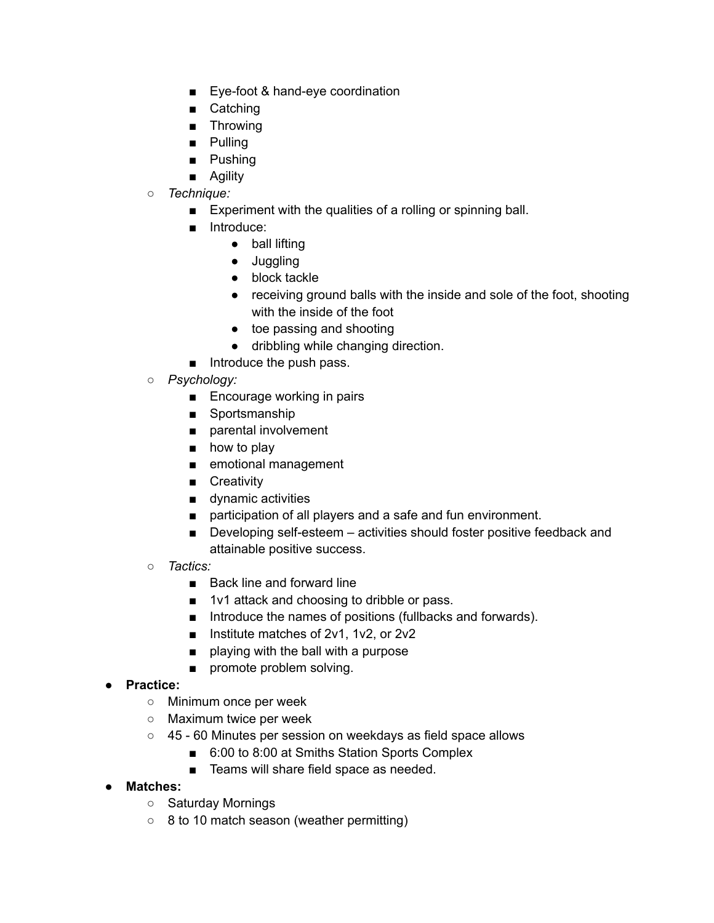- Eye-foot & hand-eye coordination
- Catching
- Throwing
- Pulling
- Pushing
- Agility
- *○ Technique:*
	- Experiment with the qualities of a rolling or spinning ball.
	- Introduce:
		- ball lifting
		- Juggling
		- block tackle
		- receiving ground balls with the inside and sole of the foot, shooting with the inside of the foot
		- toe passing and shooting
		- dribbling while changing direction.
	- Introduce the push pass.
- *Psychology:*
	- Encourage working in pairs
	- Sportsmanship
	- parental involvement
	- how to play
	- emotional management
	- Creativity
	- dynamic activities
	- participation of all players and a safe and fun environment.
	- Developing self-esteem activities should foster positive feedback and attainable positive success.
- *Tactics:*
	- Back line and forward line
	- 1v1 attack and choosing to dribble or pass.
	- Introduce the names of positions (fullbacks and forwards).
	- Institute matches of 2v1, 1v2, or 2v2
	- playing with the ball with a purpose
	- promote problem solving.

### ● **Practice:**

- Minimum once per week
- Maximum twice per week
- 45 60 Minutes per session on weekdays as field space allows
	- 6:00 to 8:00 at Smiths Station Sports Complex
	- Teams will share field space as needed.
- **● Matches:**
	- Saturday Mornings
	- 8 to 10 match season (weather permitting)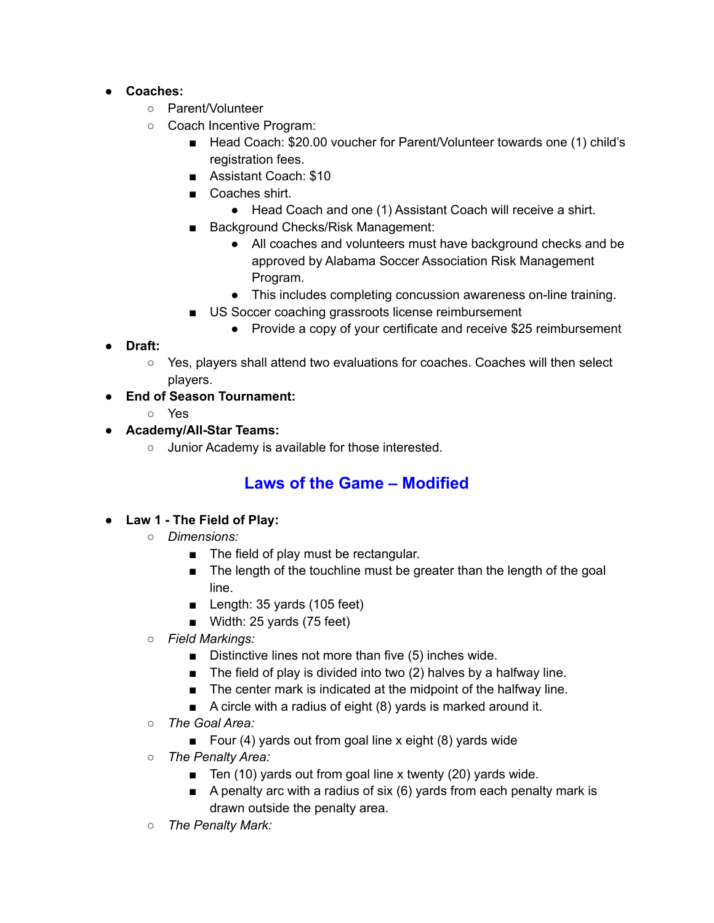- **Coaches:**
	- Parent/Volunteer
	- Coach Incentive Program:
		- Head Coach: \$20.00 voucher for Parent/Volunteer towards one (1) child's registration fees.
		- Assistant Coach: \$10
		- Coaches shirt.
			- Head Coach and one (1) Assistant Coach will receive a shirt.
		- Background Checks/Risk Management:
			- All coaches and volunteers must have background checks and be approved by Alabama Soccer Association Risk Management Program.
			- This includes completing concussion awareness on-line training.
		- US Soccer coaching grassroots license reimbursement
			- Provide a copy of your certificate and receive \$25 reimbursement
- **Draft:**
	- Yes, players shall attend two evaluations for coaches. Coaches will then select players.

### ● **End of Season Tournament:**

- Yes
- **Academy/All-Star Teams:**
	- Junior Academy is available for those interested.

## **Laws of the Game – Modified**

### ● **Law 1 - The Field of Play:**

- *○ Dimensions:*
	- The field of play must be rectangular.
	- The length of the touchline must be greater than the length of the goal line.
	- Length: 35 yards (105 feet)
	- Width: 25 yards (75 feet)
- *Field Markings:*
	- Distinctive lines not more than five (5) inches wide.
	- The field of play is divided into two (2) halves by a halfway line.
	- The center mark is indicated at the midpoint of the halfway line.
	- A circle with a radius of eight (8) yards is marked around it.
- *○ The Goal Area:*
	- Four (4) yards out from goal line x eight (8) yards wide
- *The Penalty Area:*
	- Ten  $(10)$  yards out from goal line x twenty  $(20)$  yards wide.
	- A penalty arc with a radius of six (6) yards from each penalty mark is drawn outside the penalty area.
- *The Penalty Mark:*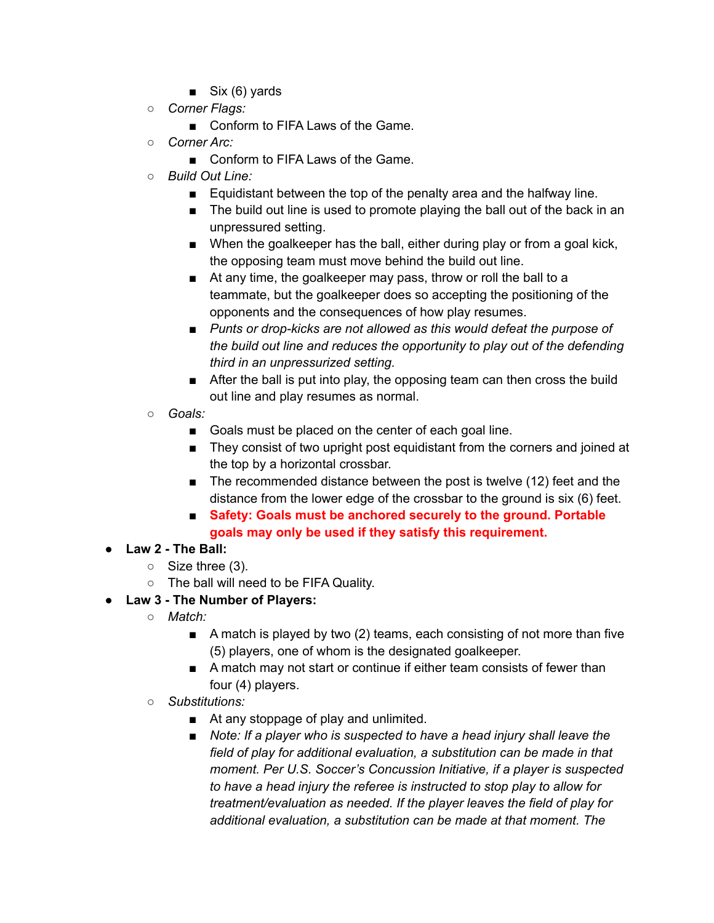- $\blacksquare$  Six (6) yards
- *Corner Flags:*
	- Conform to FIFA Laws of the Game.
- *Corner Arc:*
	- Conform to FIFA Laws of the Game.
- *Build Out Line:*
	- Equidistant between the top of the penalty area and the halfway line.
	- The build out line is used to promote playing the ball out of the back in an unpressured setting.
	- When the goalkeeper has the ball, either during play or from a goal kick, the opposing team must move behind the build out line.
	- At any time, the goalkeeper may pass, throw or roll the ball to a teammate, but the goalkeeper does so accepting the positioning of the opponents and the consequences of how play resumes.
	- *■ Punts or drop-kicks are not allowed as this would defeat the purpose of the build out line and reduces the opportunity to play out of the defending third in an unpressurized setting.*
	- After the ball is put into play, the opposing team can then cross the build out line and play resumes as normal.
- *Goals:*
	- Goals must be placed on the center of each goal line.
	- They consist of two upright post equidistant from the corners and joined at the top by a horizontal crossbar.
	- The recommended distance between the post is twelve (12) feet and the distance from the lower edge of the crossbar to the ground is six (6) feet.
	- **Safety: Goals must be anchored securely to the ground. Portable goals may only be used if they satisfy this requirement.**
- **Law 2 - The Ball:**
	- Size three (3).
	- The ball will need to be FIFA Quality.
- **Law 3 - The Number of Players:**
	- *○ Match:*
		- A match is played by two (2) teams, each consisting of not more than five (5) players, one of whom is the designated goalkeeper.
		- A match may not start or continue if either team consists of fewer than four (4) players.
	- *Substitutions:*
		- At any stoppage of play and unlimited.
		- *■ Note: If a player who is suspected to have a head injury shall leave the field of play for additional evaluation, a substitution can be made in that moment. Per U.S. Soccer's Concussion Initiative, if a player is suspected to have a head injury the referee is instructed to stop play to allow for treatment/evaluation as needed. If the player leaves the field of play for additional evaluation, a substitution can be made at that moment. The*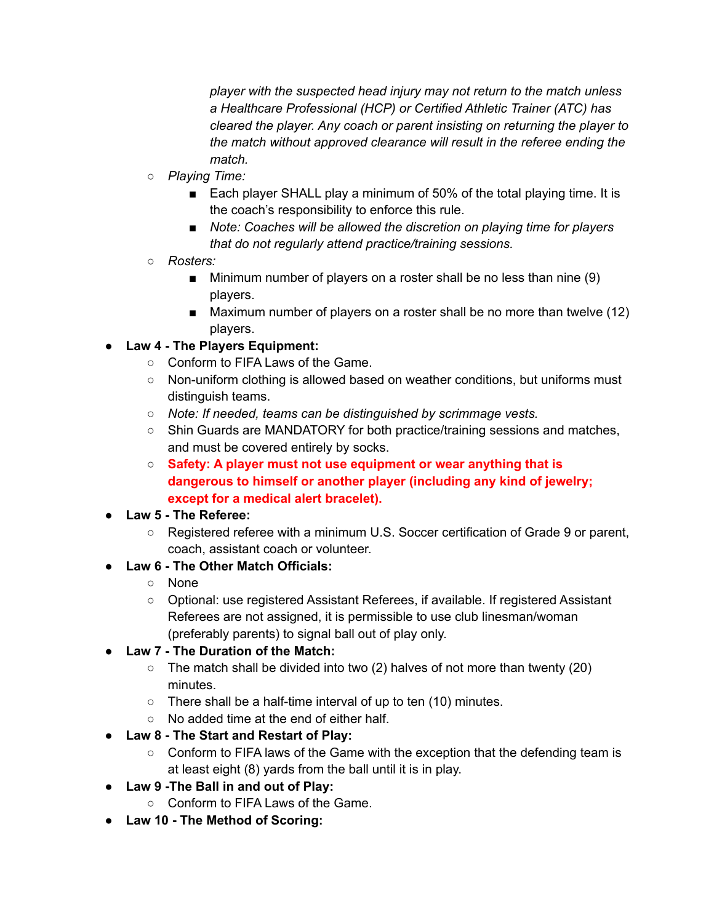*player with the suspected head injury may not return to the match unless a Healthcare Professional (HCP) or Certified Athletic Trainer (ATC) has cleared the player. Any coach or parent insisting on returning the player to the match without approved clearance will result in the referee ending the match.*

- *○ Playing Time:*
	- Each player SHALL play a minimum of 50% of the total playing time. It is the coach's responsibility to enforce this rule.
	- *■ Note: Coaches will be allowed the discretion on playing time for players that do not regularly attend practice/training sessions.*
- *○ Rosters:*
	- Minimum number of players on a roster shall be no less than nine (9) players.
	- Maximum number of players on a roster shall be no more than twelve (12) players.

### **● Law 4 - The Players Equipment:**

- Conform to FIFA Laws of the Game.
- Non-uniform clothing is allowed based on weather conditions, but uniforms must distinguish teams.
- *Note: If needed, teams can be distinguished by scrimmage vests.*
- Shin Guards are MANDATORY for both practice/training sessions and matches, and must be covered entirely by socks.
- **Safety: A player must not use equipment or wear anything that is dangerous to himself or another player (including any kind of jewelry; except for a medical alert bracelet).**
- **Law 5 - The Referee:**
	- Registered referee with a minimum U.S. Soccer certification of Grade 9 or parent, coach, assistant coach or volunteer.

### ● **Law 6 - The Other Match Officials:**

- None
- Optional: use registered Assistant Referees, if available. If registered Assistant Referees are not assigned, it is permissible to use club linesman/woman (preferably parents) to signal ball out of play only.
- **Law 7 - The Duration of the Match:**
	- $\circ$  The match shall be divided into two (2) halves of not more than twenty (20) minutes.
	- There shall be a half-time interval of up to ten (10) minutes.
	- No added time at the end of either half.
- **● Law 8 - The Start and Restart of Play:**
	- Conform to FIFA laws of the Game with the exception that the defending team is at least eight (8) yards from the ball until it is in play.
- **Law 9 -The Ball in and out of Play:**
	- Conform to FIFA Laws of the Game.
- **● Law 10 - The Method of Scoring:**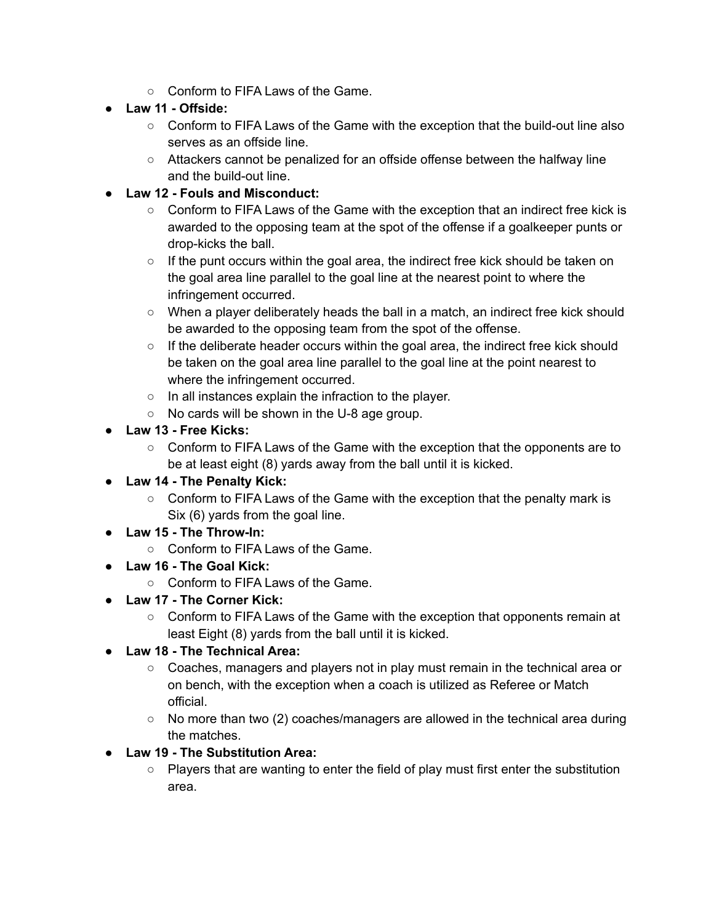- Conform to FIFA Laws of the Game.
- **● Law 11 - Offside:**
	- Conform to FIFA Laws of the Game with the exception that the build-out line also serves as an offside line.
	- Attackers cannot be penalized for an offside offense between the halfway line and the build-out line.
- **● Law 12 - Fouls and Misconduct:**
	- Conform to FIFA Laws of the Game with the exception that an indirect free kick is awarded to the opposing team at the spot of the offense if a goalkeeper punts or drop-kicks the ball.
	- $\circ$  If the punt occurs within the goal area, the indirect free kick should be taken on the goal area line parallel to the goal line at the nearest point to where the infringement occurred.
	- When a player deliberately heads the ball in a match, an indirect free kick should be awarded to the opposing team from the spot of the offense.
	- $\circ$  If the deliberate header occurs within the goal area, the indirect free kick should be taken on the goal area line parallel to the goal line at the point nearest to where the infringement occurred.
	- In all instances explain the infraction to the player.
	- No cards will be shown in the U-8 age group.
- **Law 13 - Free Kicks:**
	- Conform to FIFA Laws of the Game with the exception that the opponents are to be at least eight (8) yards away from the ball until it is kicked.
- **● Law 14 - The Penalty Kick:**
	- Conform to FIFA Laws of the Game with the exception that the penalty mark is Six (6) yards from the goal line.
- **Law 15 - The Throw-In:**
	- Conform to FIFA Laws of the Game.
- **Law 16 - The Goal Kick:**
	- Conform to FIFA Laws of the Game.
- **● Law 17 - The Corner Kick:**
	- Conform to FIFA Laws of the Game with the exception that opponents remain at least Eight (8) yards from the ball until it is kicked.
- **● Law 18 - The Technical Area:**
	- Coaches, managers and players not in play must remain in the technical area or on bench, with the exception when a coach is utilized as Referee or Match official.
	- $\circ$  No more than two (2) coaches/managers are allowed in the technical area during the matches.
- **Law 19 - The Substitution Area:**
	- Players that are wanting to enter the field of play must first enter the substitution area.